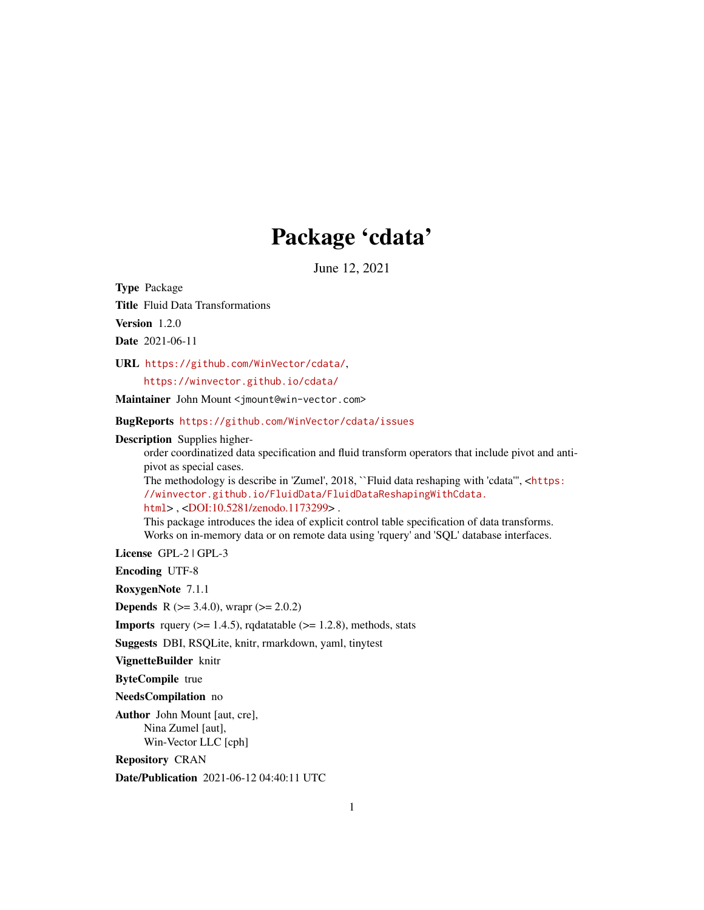# Package 'cdata'

June 12, 2021

Type Package

Title Fluid Data Transformations

Version 1.2.0

Date 2021-06-11

URL <https://github.com/WinVector/cdata/>,

<https://winvector.github.io/cdata/>

Maintainer John Mount <jmount@win-vector.com>

BugReports <https://github.com/WinVector/cdata/issues>

Description Supplies higher-

order coordinatized data specification and fluid transform operators that include pivot and antipivot as special cases.

The methodology is describe in 'Zumel', 2018, ``Fluid data reshaping with 'cdata''', <[https:](https://winvector.github.io/FluidData/FluidDataReshapingWithCdata.html) [//winvector.github.io/FluidData/FluidDataReshapingWithCdata.](https://winvector.github.io/FluidData/FluidDataReshapingWithCdata.html) [html](https://winvector.github.io/FluidData/FluidDataReshapingWithCdata.html)> , [<DOI:10.5281/zenodo.1173299>](https://doi.org/10.5281/zenodo.1173299) .

This package introduces the idea of explicit control table specification of data transforms. Works on in-memory data or on remote data using 'rquery' and 'SQL' database interfaces.

License GPL-2 | GPL-3

Encoding UTF-8

RoxygenNote 7.1.1

**Depends** R ( $>= 3.4.0$ ), wrapr ( $>= 2.0.2$ )

**Imports** rquery  $(>= 1.4.5)$ , rqdatatable  $(>= 1.2.8)$ , methods, stats

Suggests DBI, RSQLite, knitr, rmarkdown, yaml, tinytest

VignetteBuilder knitr

ByteCompile true

NeedsCompilation no

Author John Mount [aut, cre], Nina Zumel [aut], Win-Vector LLC [cph]

Repository CRAN

Date/Publication 2021-06-12 04:40:11 UTC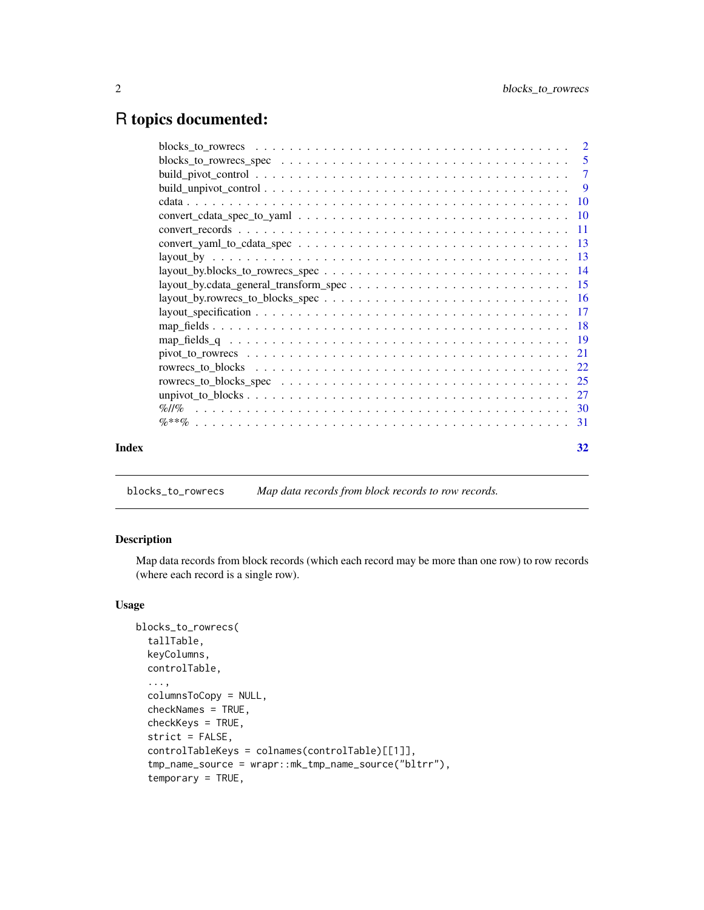# <span id="page-1-0"></span>R topics documented:

|       | $convert\_yaml_to_cdata_spec \ldots \ldots \ldots \ldots \ldots \ldots \ldots \ldots \ldots \ldots \ldots \ldots$ |    |
|-------|-------------------------------------------------------------------------------------------------------------------|----|
|       |                                                                                                                   |    |
|       |                                                                                                                   |    |
|       |                                                                                                                   |    |
|       |                                                                                                                   |    |
|       |                                                                                                                   |    |
|       |                                                                                                                   |    |
|       |                                                                                                                   |    |
|       |                                                                                                                   |    |
|       |                                                                                                                   |    |
|       |                                                                                                                   |    |
|       |                                                                                                                   |    |
|       |                                                                                                                   |    |
|       |                                                                                                                   |    |
| Index |                                                                                                                   | 32 |
|       |                                                                                                                   |    |

<span id="page-1-1"></span>blocks\_to\_rowrecs *Map data records from block records to row records.*

# Description

Map data records from block records (which each record may be more than one row) to row records (where each record is a single row).

```
blocks_to_rowrecs(
  tallTable,
 keyColumns,
 controlTable,
  ...,
  columnsToCopy = NULL,
  checkNames = TRUE,
  checkKeys = TRUE,
  strict = FALSE,
  controlTableKeys = colnames(controlTable)[[1]],
  tmp_name_source = wrapr::mk_tmp_name_source("bltrr"),
  temporary = TRUE,
```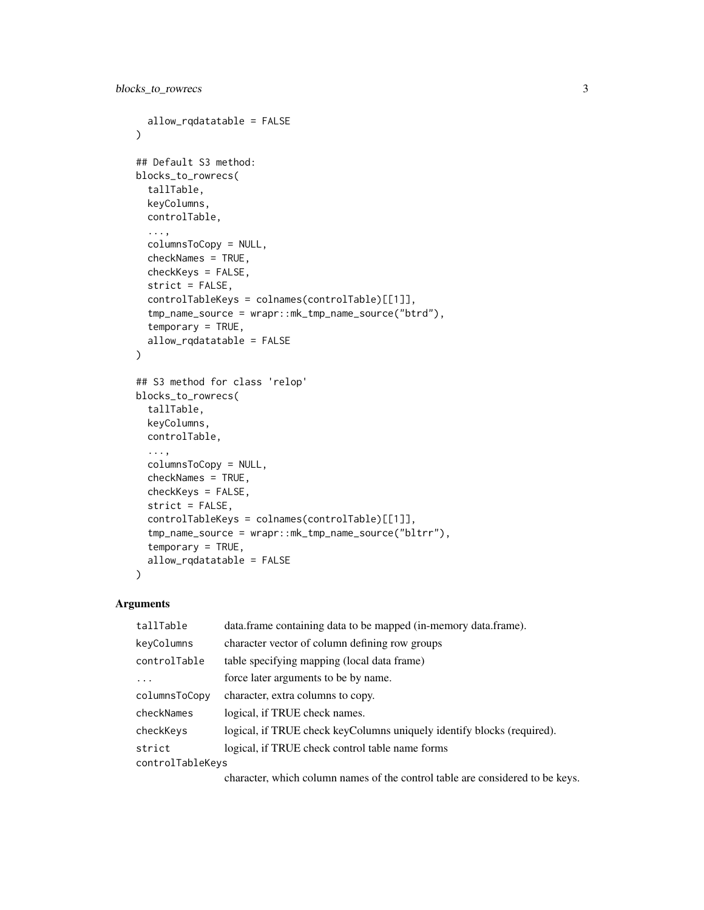```
allow_rqdatatable = FALSE
\lambda## Default S3 method:
blocks_to_rowrecs(
  tallTable,
 keyColumns,
  controlTable,
  ...,
  columnsToCopy = NULL,
  checkNames = TRUE,
  checkKeys = FALSE,
  strict = FALSE,
  controlTableKeys = colnames(controlTable)[[1]],
  tmp_name_source = wrapr::mk_tmp_name_source("btrd"),
  temporary = TRUE,
  allow_rqdatatable = FALSE
\mathcal{L}## S3 method for class 'relop'
blocks_to_rowrecs(
  tallTable,
 keyColumns,
  controlTable,
  ...,
  columnsToCopy = NULL,
  checkNames = TRUE,
  checkKeys = FALSE,
  strict = FALSE,
  controlTableKeys = colnames(controlTable)[[1]],
  tmp_name_source = wrapr::mk_tmp_name_source("bltrr"),
  temporary = TRUE,
  allow_rqdatatable = FALSE
\lambda
```

| tallTable        | data.frame containing data to be mapped (in-memory data.frame).        |  |
|------------------|------------------------------------------------------------------------|--|
| keyColumns       | character vector of column defining row groups                         |  |
| controlTable     | table specifying mapping (local data frame)                            |  |
| .                | force later arguments to be by name.                                   |  |
| columnsToCopy    | character, extra columns to copy.                                      |  |
| checkNames       | logical, if TRUE check names.                                          |  |
| checkKeys        | logical, if TRUE check keyColumns uniquely identify blocks (required). |  |
| strict           | logical, if TRUE check control table name forms                        |  |
| controlTableKeys |                                                                        |  |
|                  |                                                                        |  |

character, which column names of the control table are considered to be keys.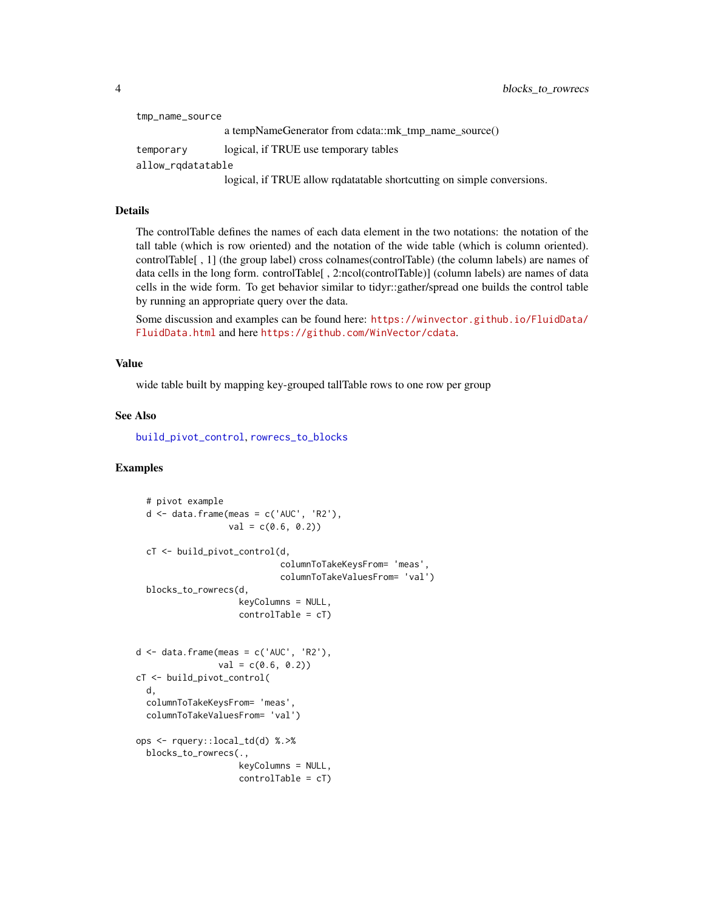```
tmp_name_source
                 a tempNameGenerator from cdata::mk_tmp_name_source()
temporary logical, if TRUE use temporary tables
allow_rqdatatable
                 logical, if TRUE allow rqdatatable shortcutting on simple conversions.
```
#### Details

The controlTable defines the names of each data element in the two notations: the notation of the tall table (which is row oriented) and the notation of the wide table (which is column oriented). controlTable[ , 1] (the group label) cross colnames(controlTable) (the column labels) are names of data cells in the long form. controlTable[ , 2:ncol(controlTable)] (column labels) are names of data cells in the wide form. To get behavior similar to tidyr::gather/spread one builds the control table by running an appropriate query over the data.

Some discussion and examples can be found here: [https://winvector.github.io/FluidData/](https://winvector.github.io/FluidData/FluidData.html) [FluidData.html](https://winvector.github.io/FluidData/FluidData.html) and here <https://github.com/WinVector/cdata>.

#### Value

wide table built by mapping key-grouped tallTable rows to one row per group

# See Also

[build\\_pivot\\_control](#page-6-1), [rowrecs\\_to\\_blocks](#page-21-1)

```
# pivot example
 d \leq - data.frame(meas = c('AUC', 'R2'),val = c(0.6, 0.2)cT <- build_pivot_control(d,
                            columnToTakeKeysFrom= 'meas',
                            columnToTakeValuesFrom= 'val')
 blocks_to_rowrecs(d,
                    keyColumns = NULL,
                    controlTable = cT)
d <- data.frame(meas = c('AUC', 'R2'),
                val = c(0.6, 0.2)cT <- build_pivot_control(
 d,
 columnToTakeKeysFrom= 'meas',
 columnToTakeValuesFrom= 'val')
ops <- rquery::local_td(d) %.>%
 blocks_to_rowrecs(.,
                    keyColumns = NULL,
                    controlTable = cT)
```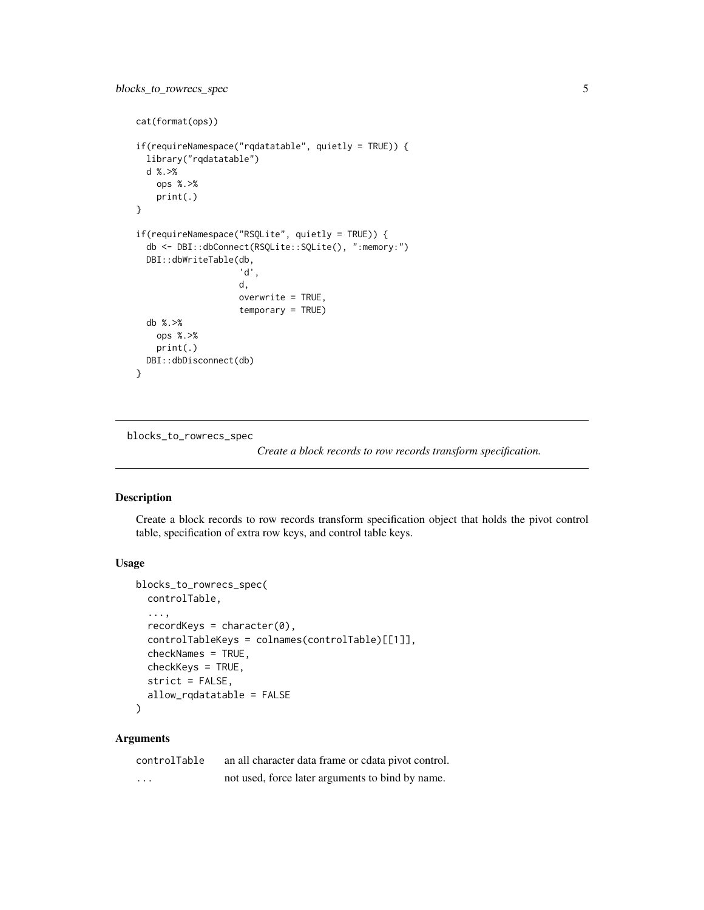```
cat(format(ops))
if(requireNamespace("rqdatatable", quietly = TRUE)) {
 library("rqdatatable")
 d %.>%
   ops %.>%
   print(.)
}
if(requireNamespace("RSQLite", quietly = TRUE)) {
 db <- DBI::dbConnect(RSQLite::SQLite(), ":memory:")
 DBI::dbWriteTable(db,
                    'd',
                    d,
                    overwrite = TRUE,
                    temporary = TRUE)
 db %.>%
   ops %.>%
   print(.)
 DBI::dbDisconnect(db)
}
```
blocks\_to\_rowrecs\_spec

*Create a block records to row records transform specification.*

#### Description

Create a block records to row records transform specification object that holds the pivot control table, specification of extra row keys, and control table keys.

# Usage

```
blocks_to_rowrecs_spec(
  controlTable,
  ...,
  recordKeys = character(0),
  controlTableKeys = colnames(controlTable)[[1]],
  checkNames = TRUE,
  checkKeys = TRUE,
  strict = FALSE,
  allow_rqdatatable = FALSE
\mathcal{L}
```
# Arguments

| controlTable | an all character data frame or cdata pivot control. |
|--------------|-----------------------------------------------------|
| .            | not used, force later arguments to bind by name.    |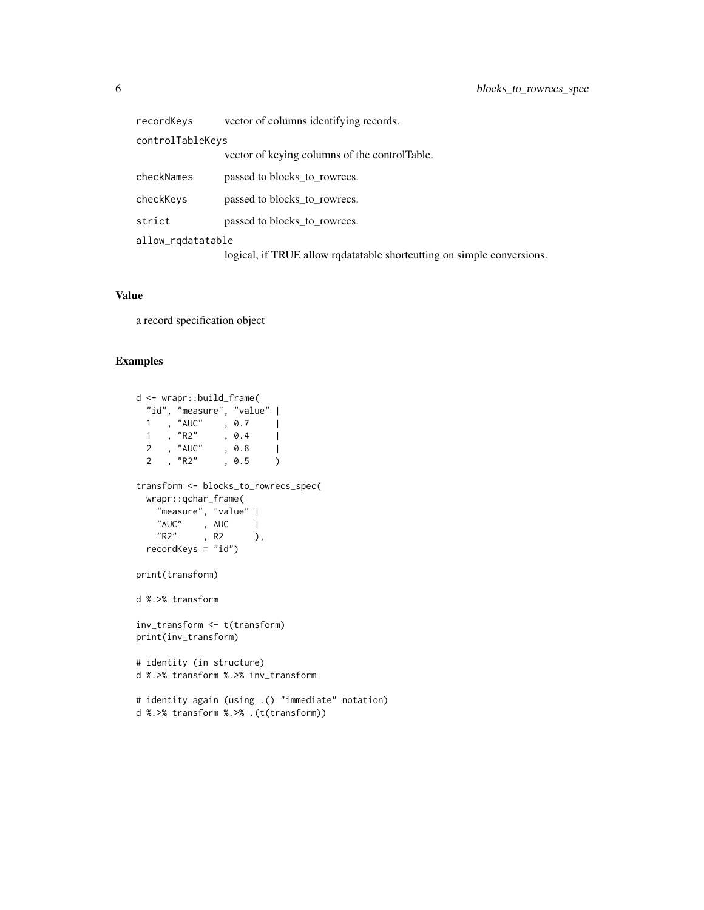| recordKeys        | vector of columns identifying records.                                 |  |
|-------------------|------------------------------------------------------------------------|--|
| controlTableKeys  |                                                                        |  |
|                   | vector of keying columns of the control Table.                         |  |
| checkNames        | passed to blocks_to_rowrecs.                                           |  |
| checkKeys         | passed to blocks_to_rowrecs.                                           |  |
| strict            | passed to blocks to rowrecs.                                           |  |
| allow_rqdatatable |                                                                        |  |
|                   | logical, if TRUE allow redatatable shortcutting on simple conversions. |  |

#### Value

a record specification object

```
d <- wrapr::build_frame(
 "id", "measure", "value" |
  1, "AUC", 0.7 |
  1 , "R2" , 0.4 |
  2 , "AUC" , 0.8 |
  2 , "R2" , 0.5 )
transform <- blocks_to_rowrecs_spec(
 wrapr::qchar_frame(
   "measure", "value" |
    "AUC", AUC |
    "R2", R2 ),
 recordKeys = "id")
print(transform)
d %.>% transform
inv_transform <- t(transform)
print(inv_transform)
# identity (in structure)
d %.>% transform %.>% inv_transform
# identity again (using .() "immediate" notation)
d %.>% transform %.>% .(t(transform))
```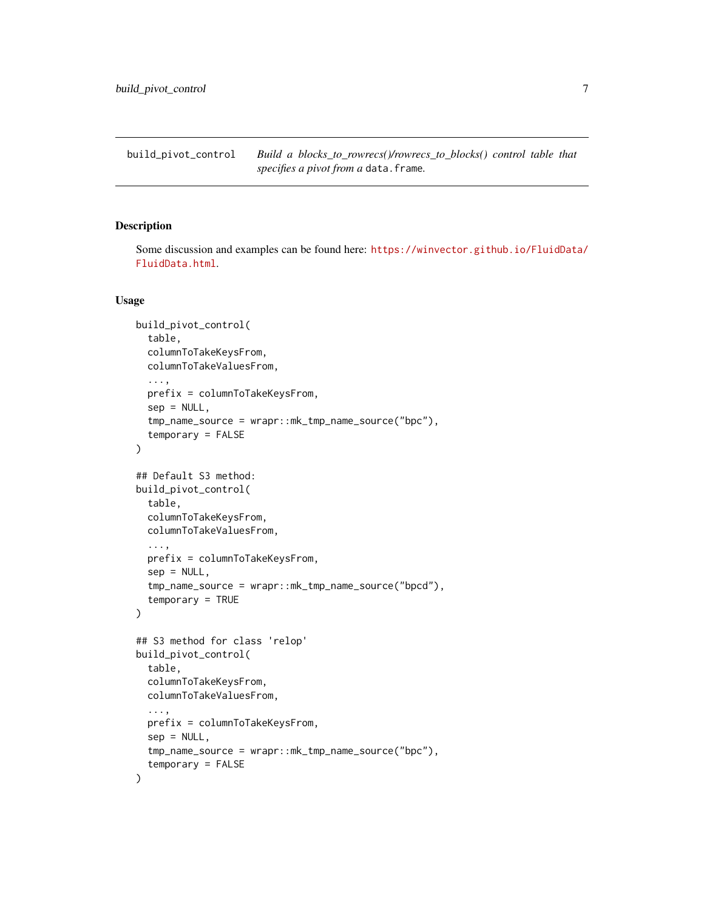<span id="page-6-1"></span><span id="page-6-0"></span>build\_pivot\_control *Build a blocks\_to\_rowrecs()/rowrecs\_to\_blocks() control table that specifies a pivot from a* data.frame*.*

# Description

Some discussion and examples can be found here: [https://winvector.github.io/FluidData/](https://winvector.github.io/FluidData/FluidData.html) [FluidData.html](https://winvector.github.io/FluidData/FluidData.html).

```
build_pivot_control(
  table,
  columnToTakeKeysFrom,
  columnToTakeValuesFrom,
  ...,
  prefix = columnToTakeKeysFrom,
  sep = NULL,tmp_name_source = wrapr::mk_tmp_name_source("bpc"),
  temporary = FALSE
)
## Default S3 method:
build_pivot_control(
  table,
  columnToTakeKeysFrom,
  columnToTakeValuesFrom,
  ...,
  prefix = columnToTakeKeysFrom,
  sep = NULL,tmp_name_source = wrapr::mk_tmp_name_source("bpcd"),
  temporary = TRUE
)
## S3 method for class 'relop'
build_pivot_control(
  table,
  columnToTakeKeysFrom,
  columnToTakeValuesFrom,
  ...,
 prefix = columnToTakeKeysFrom,
  sep = NULL,tmp_name_source = wrapr::mk_tmp_name_source("bpc"),
  temporary = FALSE
)
```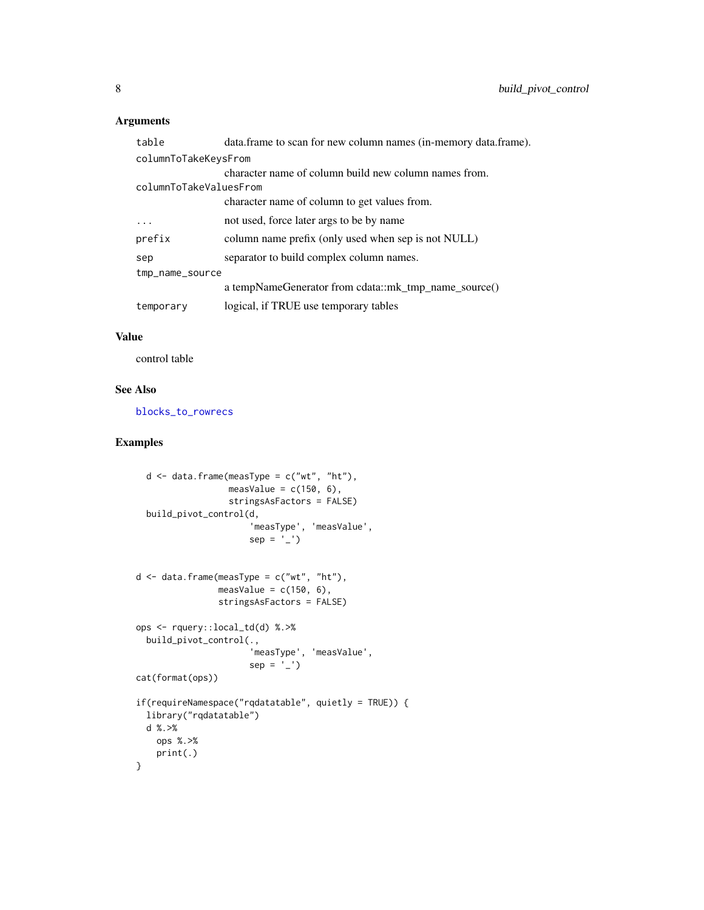<span id="page-7-0"></span>

| table                  | data.frame to scan for new column names (in-memory data.frame). |  |
|------------------------|-----------------------------------------------------------------|--|
| columnToTakeKeysFrom   |                                                                 |  |
|                        | character name of column build new column names from.           |  |
| columnToTakeValuesFrom |                                                                 |  |
|                        | character name of column to get values from.                    |  |
|                        | not used, force later args to be by name                        |  |
| prefix                 | column name prefix (only used when sep is not NULL)             |  |
| sep                    | separator to build complex column names.                        |  |
| tmp_name_source        |                                                                 |  |
|                        | a tempNameGenerator from cdata::mk_tmp_name_source()            |  |
| temporary              | logical, if TRUE use temporary tables                           |  |

# Value

control table

#### See Also

[blocks\\_to\\_rowrecs](#page-1-1)

```
d \le - data.frame(measType = c("wt", "ht"),
                  measValue = c(150, 6),
                  stringsAsFactors = FALSE)
  build_pivot_control(d,
                      'measType', 'measValue',
                      sep = '-'')d \leq - data.frame(measType = c("wt", "ht"),
                measValue = c(150, 6),
                stringsAsFactors = FALSE)
ops <- rquery::local_td(d) %.>%
  build_pivot_control(.,
                      'measType', 'measValue',
                      sep = '-'')cat(format(ops))
if(requireNamespace("rqdatatable", quietly = TRUE)) {
  library("rqdatatable")
 d %.>%
   ops %.>%
   print(.)
}
```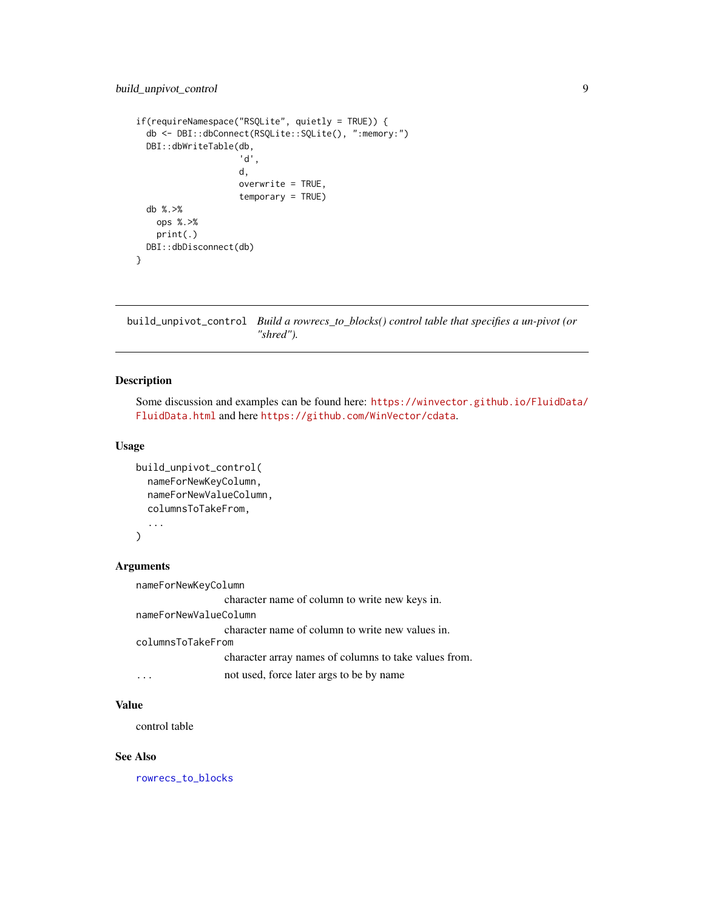```
if(requireNamespace("RSQLite", quietly = TRUE)) {
 db <- DBI::dbConnect(RSQLite::SQLite(), ":memory:")
 DBI::dbWriteTable(db,
                    'd',
                    d,
                    overwrite = TRUE,
                    temporary = TRUE)
 db %.>%
   ops %.>%
   print(.)
 DBI::dbDisconnect(db)
}
```
<span id="page-8-1"></span>build\_unpivot\_control *Build a rowrecs\_to\_blocks() control table that specifies a un-pivot (or "shred").*

# Description

Some discussion and examples can be found here: [https://winvector.github.io/FluidData/](https://winvector.github.io/FluidData/FluidData.html) [FluidData.html](https://winvector.github.io/FluidData/FluidData.html) and here <https://github.com/WinVector/cdata>.

#### Usage

```
build_unpivot_control(
  nameForNewKeyColumn,
  nameForNewValueColumn,
  columnsToTakeFrom,
  ...
)
```
#### Arguments

nameForNewKeyColumn

character name of column to write new keys in. nameForNewValueColumn character name of column to write new values in. columnsToTakeFrom character array names of columns to take values from. ... not used, force later args to be by name

# Value

control table

#### See Also

[rowrecs\\_to\\_blocks](#page-21-1)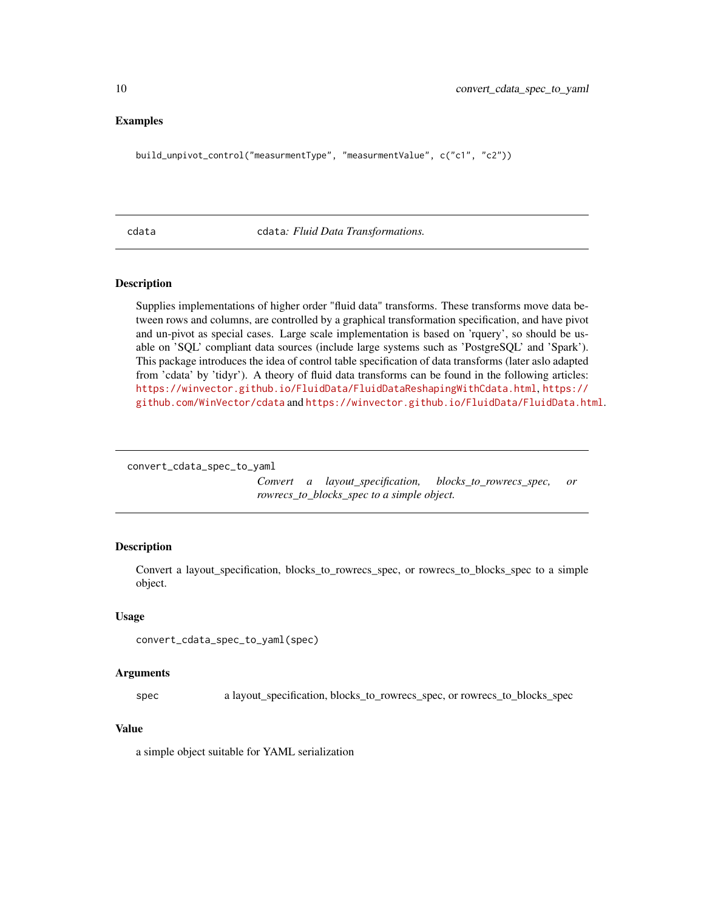#### <span id="page-9-0"></span>Examples

build\_unpivot\_control("measurmentType", "measurmentValue", c("c1", "c2"))

#### cdata cdata*: Fluid Data Transformations.*

### Description

Supplies implementations of higher order "fluid data" transforms. These transforms move data between rows and columns, are controlled by a graphical transformation specification, and have pivot and un-pivot as special cases. Large scale implementation is based on 'rquery', so should be usable on 'SQL' compliant data sources (include large systems such as 'PostgreSQL' and 'Spark'). This package introduces the idea of control table specification of data transforms (later aslo adapted from 'cdata' by 'tidyr'). A theory of fluid data transforms can be found in the following articles: <https://winvector.github.io/FluidData/FluidDataReshapingWithCdata.html>, [https://](https://github.com/WinVector/cdata) [github.com/WinVector/cdata](https://github.com/WinVector/cdata) and <https://winvector.github.io/FluidData/FluidData.html>.

```
convert_cdata_spec_to_yaml
```
*Convert a layout\_specification, blocks\_to\_rowrecs\_spec, or rowrecs\_to\_blocks\_spec to a simple object.*

# Description

Convert a layout\_specification, blocks\_to\_rowrecs\_spec, or rowrecs\_to\_blocks\_spec to a simple object.

#### Usage

```
convert_cdata_spec_to_yaml(spec)
```
#### Arguments

spec a layout\_specification, blocks\_to\_rowrecs\_spec, or rowrecs\_to\_blocks\_spec

#### Value

a simple object suitable for YAML serialization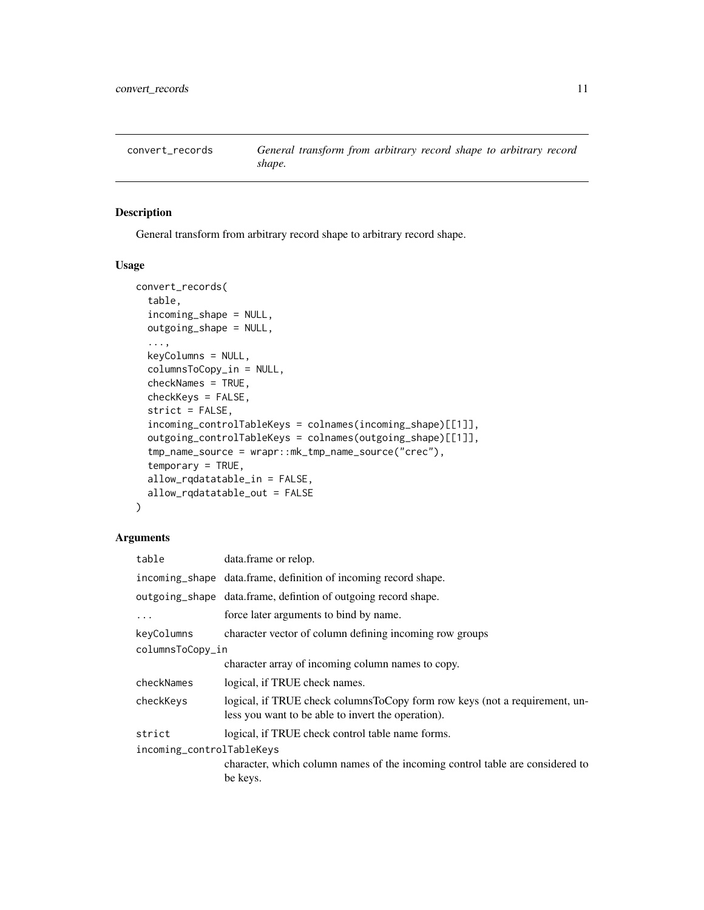<span id="page-10-0"></span>

# Description

General transform from arbitrary record shape to arbitrary record shape.

# Usage

```
convert_records(
  table,
  incoming_shape = NULL,
  outgoing_shape = NULL,
  ...,
  keyColumns = NULL,
  columnsToCopy_in = NULL,
  checkNames = TRUE,
  checkKeys = FALSE,
  strict = FALSE,
  incoming_controlTableKeys = colnames(incoming_shape)[[1]],
  outgoing_controlTableKeys = colnames(outgoing_shape)[[1]],
  tmp_name_source = wrapr::mk_tmp_name_source("crec"),
  temporary = TRUE,
  allow_rqdatatable_in = FALSE,
  allow_rqdatatable_out = FALSE
)
```
# Arguments

| data.frame or relop.                                                                                                             |
|----------------------------------------------------------------------------------------------------------------------------------|
| incoming_shape data.frame, definition of incoming record shape.                                                                  |
| outgoing_shape data.frame, defintion of outgoing record shape.                                                                   |
| force later arguments to bind by name.                                                                                           |
| character vector of column defining incoming row groups                                                                          |
| columnsToCopy_in                                                                                                                 |
| character array of incoming column names to copy.                                                                                |
| logical, if TRUE check names.                                                                                                    |
| logical, if TRUE check columnsToCopy form row keys (not a requirement, un-<br>less you want to be able to invert the operation). |
| logical, if TRUE check control table name forms.                                                                                 |
| incoming_controlTableKeys<br>character, which column names of the incoming control table are considered to<br>be keys.           |
|                                                                                                                                  |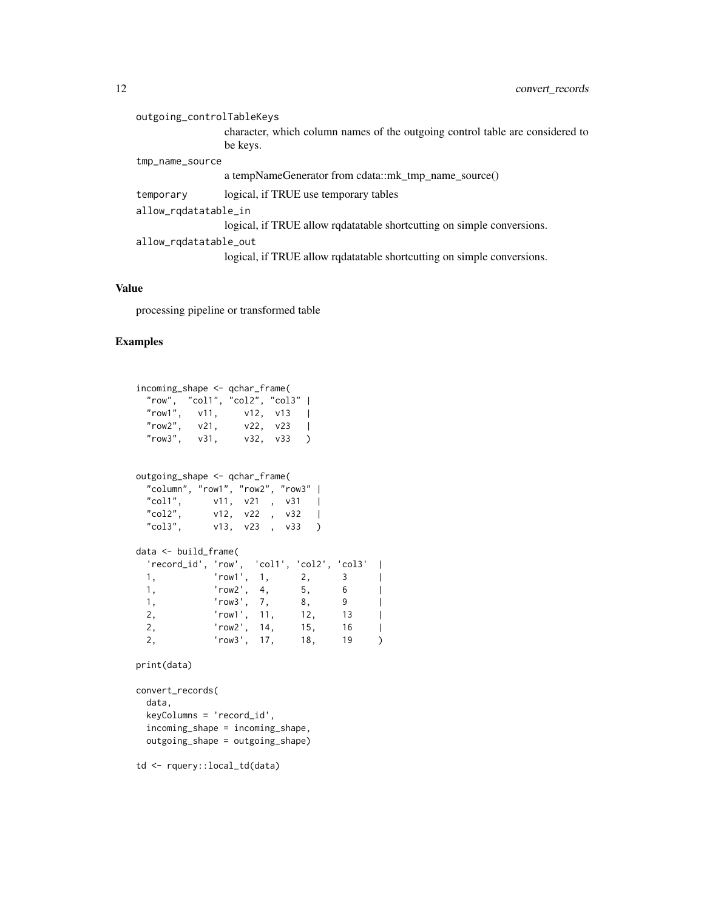| outgoing_controlTableKeys |                       |                                                                                           |
|---------------------------|-----------------------|-------------------------------------------------------------------------------------------|
|                           |                       | character, which column names of the outgoing control table are considered to<br>be keys. |
|                           | tmp_name_source       |                                                                                           |
|                           |                       | a tempNameGenerator from cdata::mk_tmp_name_source()                                      |
|                           | temporary             | logical, if TRUE use temporary tables                                                     |
| allow_rqdatatable_in      |                       |                                                                                           |
|                           |                       | logical, if TRUE allow redatatable shortcutting on simple conversions.                    |
|                           | allow_rqdatatable_out |                                                                                           |
|                           |                       | logical, if TRUE allow redatatable shortcutting on simple conversions.                    |

#### Value

processing pipeline or transformed table

#### Examples

```
incoming_shape <- qchar_frame(
 "row", "col1", "col2", "col3" |
 "row1", v11, v12, v13 |
 "row2", v21, v22, v23 |
 "row3", v31, v32, v33 )
outgoing_shape <- qchar_frame(
 "column", "row1", "row2", "row3" |
 "col1", v11, v21 , v31 |<br>"col2", v12, v22 , v32 |
          v12, v22 , v32 |
 "col3", v13, v23, v33)
data <- build_frame(
  'record_id', 'row', 'col1', 'col2', 'col3' |
 1, 'row1', 1, 2, 3 |
 1, 'row2', 4, 5, 6 |
 1, 'row3', 7, 8, 9 |
 1, 1^{\circ} 'row3', 7, 8, 9 |<br>2, 'row1', 11, 12, 13 |
 2, 'row2', 14, 15, 16 |
 2, 'row3', 17, 18, 19 )
print(data)
```

```
convert_records(
 data,
 keyColumns = 'record_id',
 incoming_shape = incoming_shape,
 outgoing_shape = outgoing_shape)
```
td <- rquery::local\_td(data)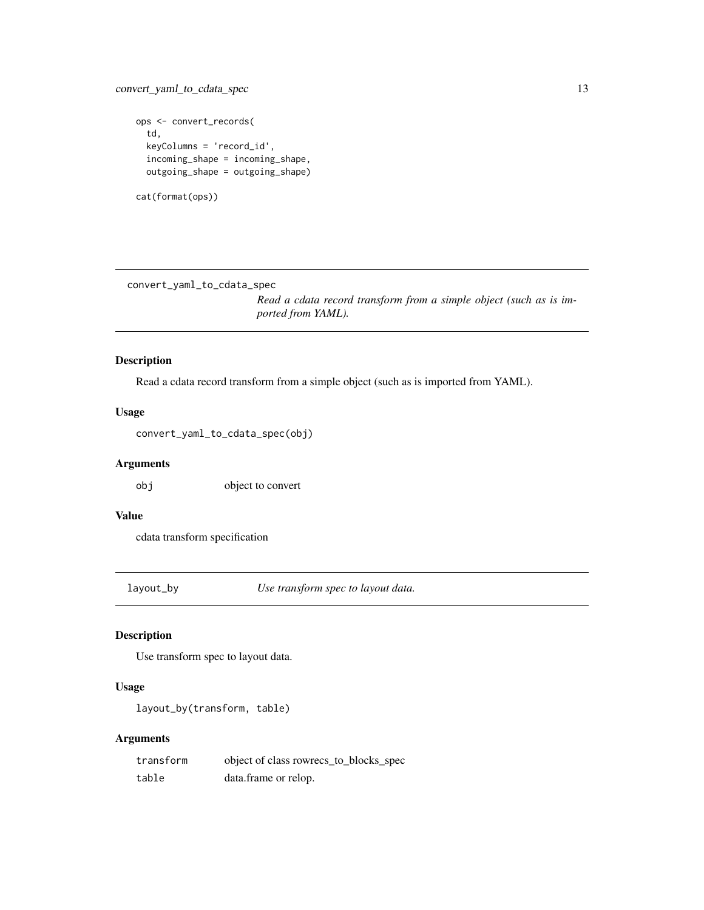```
ops <- convert_records(
  td,
  keyColumns = 'record_id',
  incoming_shape = incoming_shape,
  outgoing_shape = outgoing_shape)
cat(format(ops))
```
convert\_yaml\_to\_cdata\_spec

*Read a cdata record transform from a simple object (such as is imported from YAML).*

# Description

Read a cdata record transform from a simple object (such as is imported from YAML).

#### Usage

convert\_yaml\_to\_cdata\_spec(obj)

# Arguments

obj object to convert

# Value

cdata transform specification

layout\_by *Use transform spec to layout data.*

# Description

Use transform spec to layout data.

# Usage

layout\_by(transform, table)

# Arguments

| transform | object of class rowrecs_to_blocks_spec |
|-----------|----------------------------------------|
| table     | data.frame or relop.                   |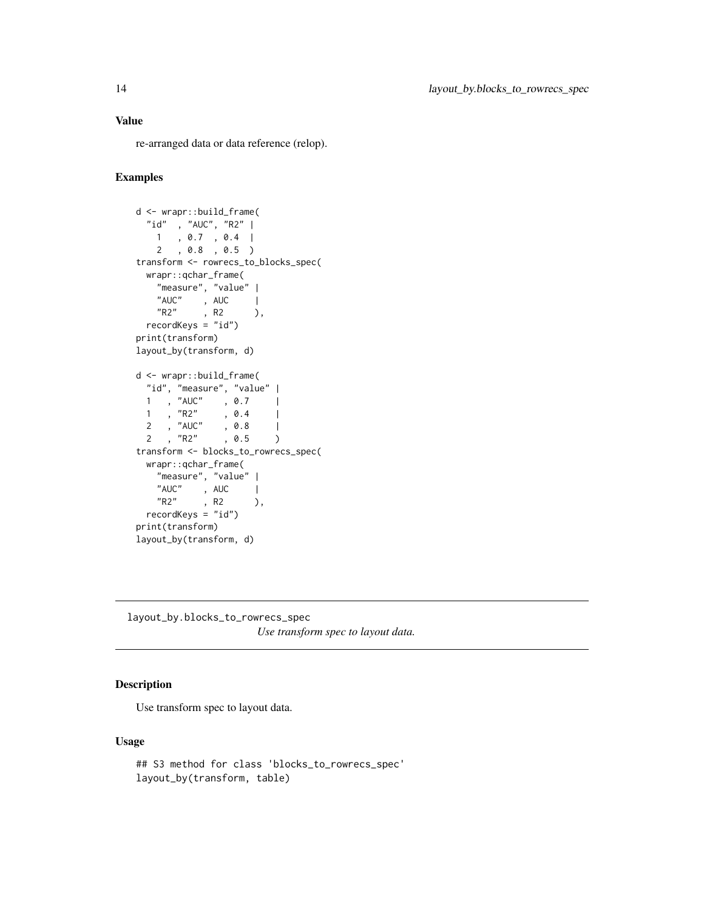# <span id="page-13-0"></span>Value

re-arranged data or data reference (relop).

# Examples

```
d <- wrapr::build_frame(
 "id" , "AUC", "R2" |
   1 , 0.7 , 0.4 |
   2 , 0.8 , 0.5 )
transform <- rowrecs_to_blocks_spec(
 wrapr::qchar_frame(
    "measure", "value" |
    "AUC" , AUC |
    "R2" , R2 ),
 recordKeys = "id")
print(transform)
layout_by(transform, d)
d <- wrapr::build_frame(
 "id", "measure", "value" |
 1 , "AUC" , 0.7 |<br>1 , "R2" , 0.4 |
 \begin{array}{ccccccccc}\n1 & , & ?R2" & , & 0.4 & | \\
2 & , & \end{array}2 , "AUC" , 0.8 |
 \frac{1}{2} , "R2" , 0.5 )
transform <- blocks_to_rowrecs_spec(
 wrapr::qchar_frame(
    "measure", "value" |
    "AUC" , AUC |<br>"R2" , R2 ),
   "R2", R2
 recordKeys = "id")
print(transform)
layout_by(transform, d)
```
layout\_by.blocks\_to\_rowrecs\_spec *Use transform spec to layout data.*

# Description

Use transform spec to layout data.

```
## S3 method for class 'blocks_to_rowrecs_spec'
layout_by(transform, table)
```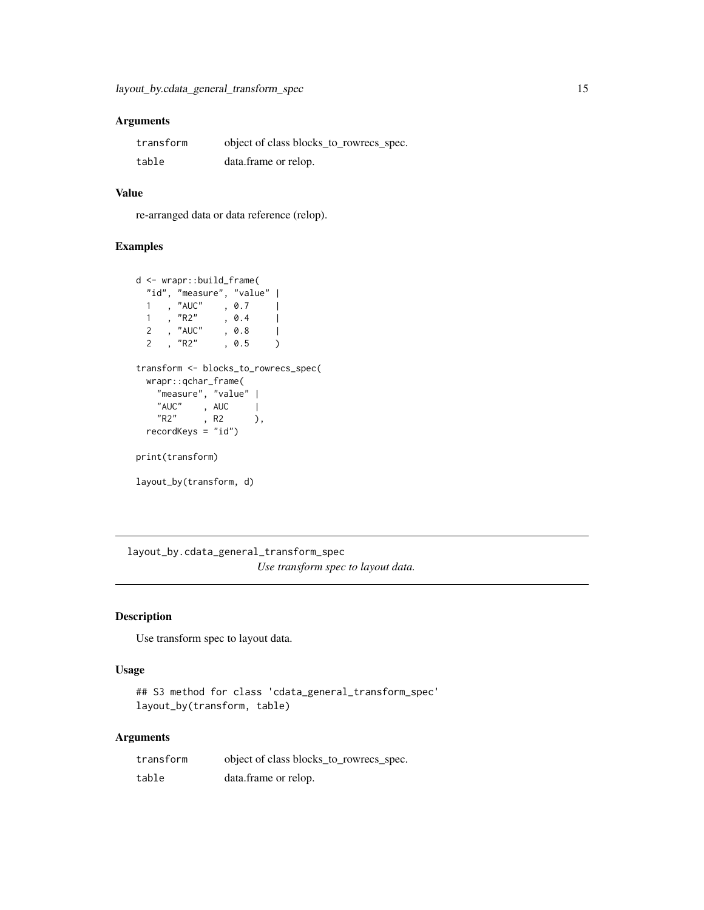<span id="page-14-0"></span>

| transform | object of class blocks_to_rowrecs_spec. |
|-----------|-----------------------------------------|
| table     | data.frame or relop.                    |

# Value

re-arranged data or data reference (relop).

# Examples

```
d <- wrapr::build_frame(
 "id", "measure", "value" |
 1 , "AUC" , 0.7 |<br>1 , "R2" , 0.4 |
  1 , "R2" , 0.4 |
  2 , "AUC" , 0.8 |
  2 , "R2" , 0.5 )
transform <- blocks_to_rowrecs_spec(
 wrapr::qchar_frame(
   "measure", "value" |
   "AUC" , AUC |
   "R2" , R2 ),
 recordKeys = "id")
print(transform)
layout_by(transform, d)
```
layout\_by.cdata\_general\_transform\_spec *Use transform spec to layout data.*

# Description

Use transform spec to layout data.

#### Usage

```
## S3 method for class 'cdata_general_transform_spec'
layout_by(transform, table)
```
# Arguments

| transform | object of class blocks_to_rowrecs_spec. |
|-----------|-----------------------------------------|
| table     | data.frame or relop.                    |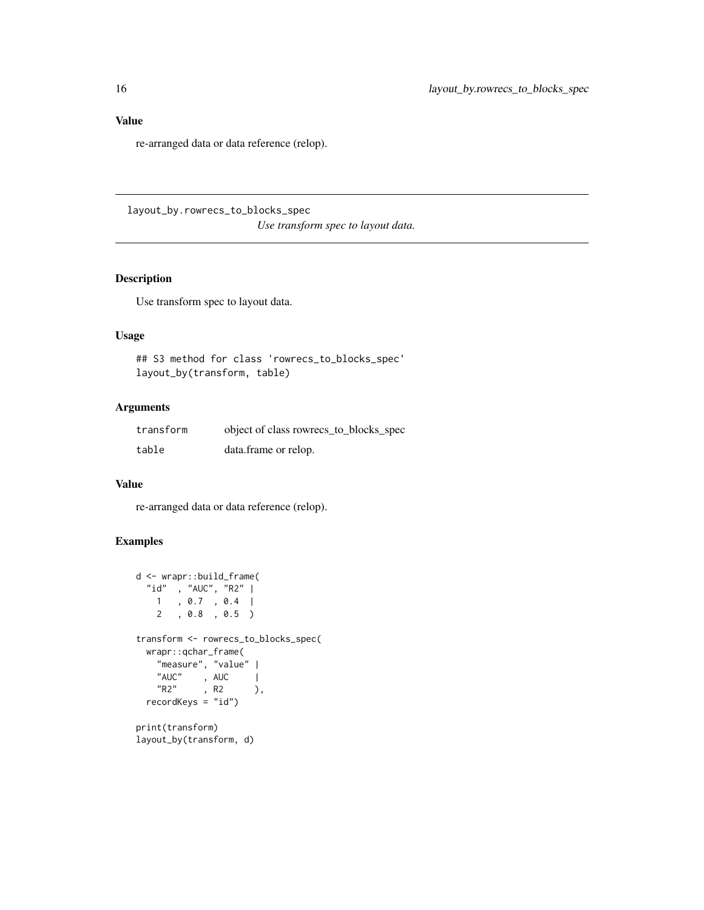<span id="page-15-0"></span>Value

re-arranged data or data reference (relop).

layout\_by.rowrecs\_to\_blocks\_spec *Use transform spec to layout data.*

# Description

Use transform spec to layout data.

# Usage

## S3 method for class 'rowrecs\_to\_blocks\_spec' layout\_by(transform, table)

# Arguments

| transform | object of class rowrecs_to_blocks_spec |
|-----------|----------------------------------------|
| table     | data.frame or relop.                   |

#### Value

re-arranged data or data reference (relop).

# Examples

```
d <- wrapr::build_frame(
 "id" , "AUC", "R2" |
   1 , 0.7 , 0.4 |
   2 , 0.8 , 0.5 )
transform <- rowrecs_to_blocks_spec(
 wrapr::qchar_frame(
   "measure", "value" |
   "AUC" , AUC |<br>"R2" , R2 )
           , R2 ),
 recordKeys = "id")
print(transform)
```
layout\_by(transform, d)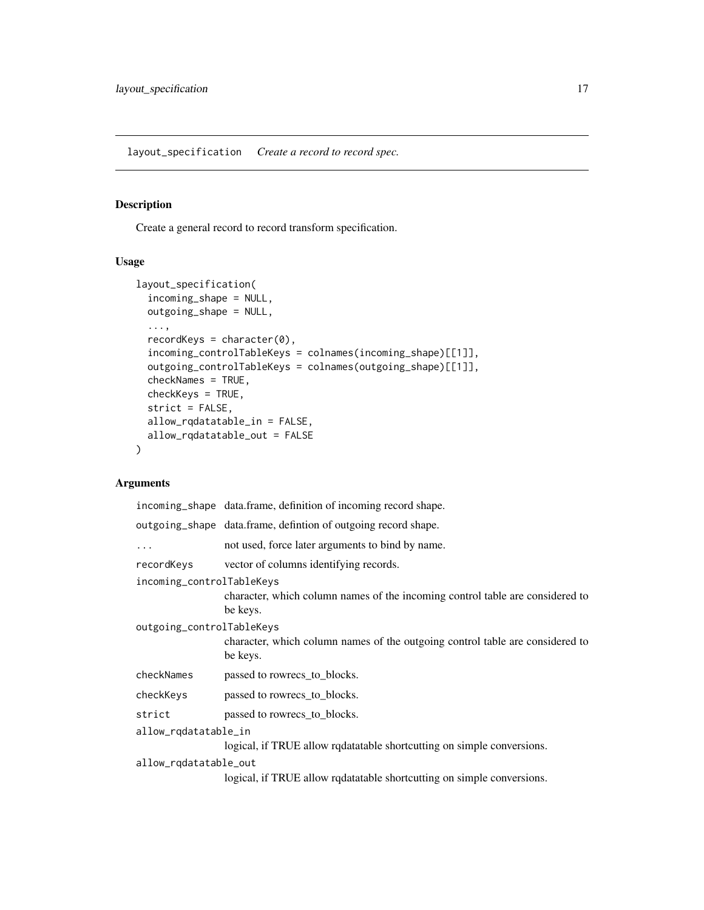<span id="page-16-0"></span>layout\_specification *Create a record to record spec.*

#### Description

Create a general record to record transform specification.

# Usage

```
layout_specification(
  incoming_shape = NULL,
 outgoing_shape = NULL,
  ...,
  recordKeys = character(0),
  incoming_controlTableKeys = colnames(incoming_shape)[[1]],
 outgoing_controlTableKeys = colnames(outgoing_shape)[[1]],
  checkNames = TRUE,
  checkKeys = TRUE,
  strict = FALSE,
  allow_rqdatatable_in = FALSE,
 allow_rqdatatable_out = FALSE
\mathcal{L}
```
# Arguments

|                           | incoming_shape data.frame, definition of incoming record shape.                           |  |
|---------------------------|-------------------------------------------------------------------------------------------|--|
|                           | outgoing_shape data.frame, defintion of outgoing record shape.                            |  |
| $\cdots$                  | not used, force later arguments to bind by name.                                          |  |
| recordKevs                | vector of columns identifying records.                                                    |  |
| incoming_controlTableKeys |                                                                                           |  |
|                           | character, which column names of the incoming control table are considered to<br>be keys. |  |
| outgoing_controlTableKeys |                                                                                           |  |
|                           | character, which column names of the outgoing control table are considered to<br>be keys. |  |
| checkNames                | passed to rowrecs_to_blocks.                                                              |  |
| checkKeys                 | passed to rowrecs_to_blocks.                                                              |  |
| strict                    | passed to rowrecs_to_blocks.                                                              |  |
| allow_rqdatatable_in      |                                                                                           |  |
|                           | logical, if TRUE allow rqdatatable shortcutting on simple conversions.                    |  |
| allow_rqdatatable_out     |                                                                                           |  |
|                           |                                                                                           |  |

logical, if TRUE allow rqdatatable shortcutting on simple conversions.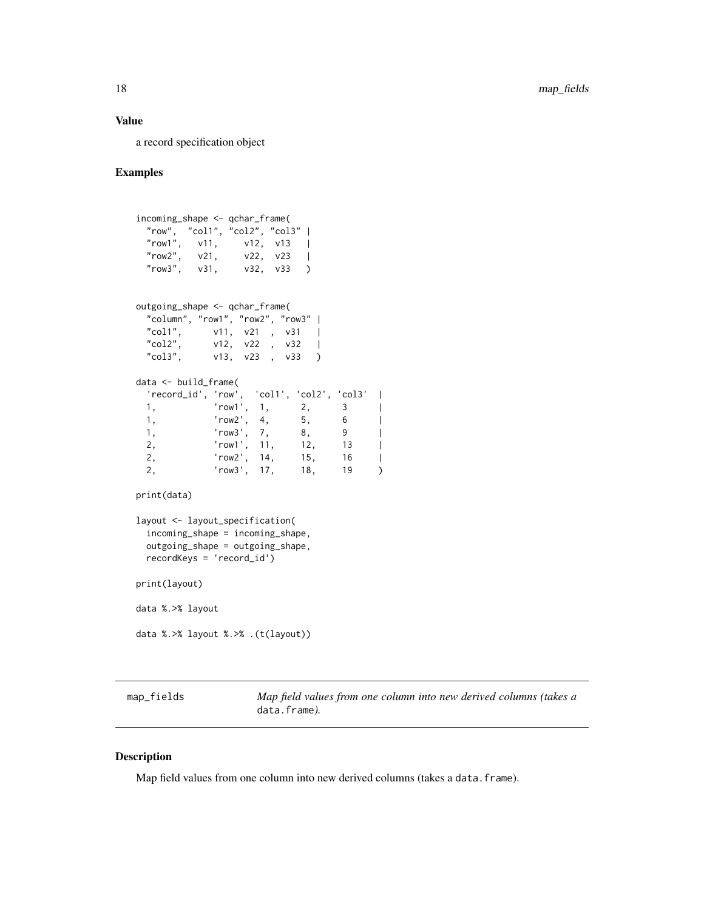#### <span id="page-17-0"></span>Value

a record specification object

#### Examples

```
incoming_shape <- qchar_frame(
 "row", "col1", "col2", "col3" |
 "row1", v11, v12, v13 |
 "row2", v21, v22, v23 |<br>"row3", v31, v32, v33 )
 "row3", v31, v32, v33 )
outgoing_shape <- qchar_frame(
 "column", "row1", "row2", "row3" |
 "col1", v11, v21 , v31 |<br>"col2", v12, v22 , v32 |
          v12, v22 , v32 |
 "col3", v13, v23, v33)
data <- build_frame(
  'record_id', 'row', 'col1', 'col2', 'col3' |
 1, 'row1', 1, 2, 3 |
 1, 'row2', 4, 5, 6 |
 1, 'row3', 7, 8, 9 |
 2, 'row1', 11, 12, 13 |
 2, 'row2', 14, 15, 16 |
 2, 'row3', 17, 18, 19 )
print(data)
layout <- layout_specification(
 incoming_shape = incoming_shape,
 outgoing_shape = outgoing_shape,
 recordKeys = 'record_id')
print(layout)
data %.>% layout
data %.>% layout %.>% .(t(layout))
```
map\_fields *Map field values from one column into new derived columns (takes a* data.frame*).*

#### Description

Map field values from one column into new derived columns (takes a data.frame).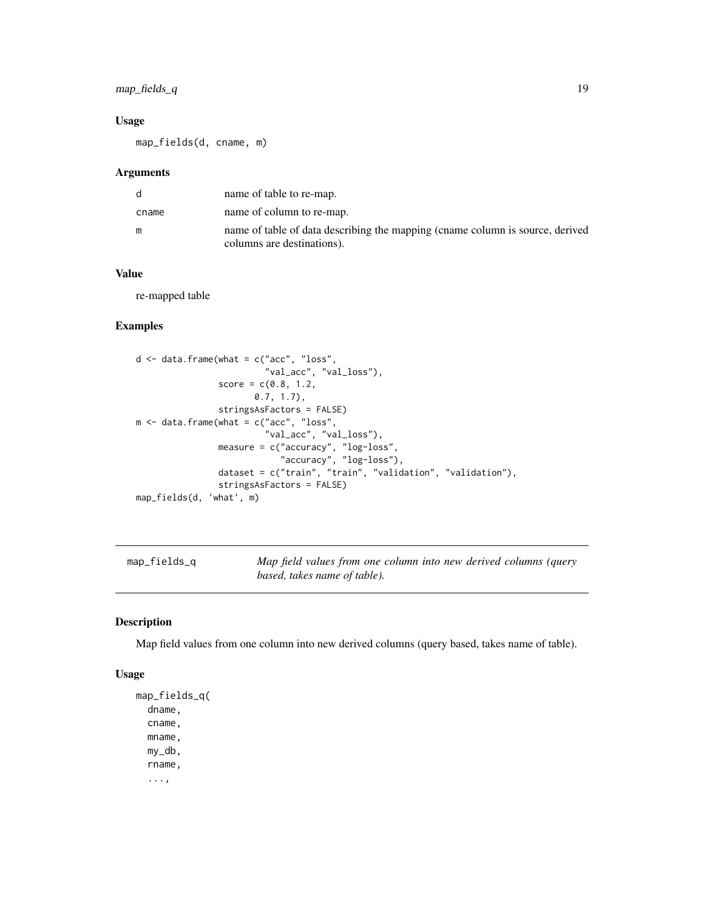# <span id="page-18-0"></span>map\_fields\_q 19

# Usage

map\_fields(d, cname, m)

#### Arguments

| d     | name of table to re-map.                                                                                    |
|-------|-------------------------------------------------------------------------------------------------------------|
| cname | name of column to re-map.                                                                                   |
| m     | name of table of data describing the mapping (cname column is source, derived<br>columns are destinations). |

# Value

re-mapped table

# Examples

```
d <- data.frame(what = c("acc", "loss",
                         "val_acc", "val_loss"),
                score = c(0.8, 1.2,0.7, 1.7),
                stringsAsFactors = FALSE)
m <- data.frame(what = c("acc", "loss",
                         "val_acc", "val_loss"),
                measure = c("accuracy", "log-loss",
                             "accuracy", "log-loss"),
                dataset = c("train", "train", "validation", "validation"),
                stringsAsFactors = FALSE)
map_fields(d, 'what', m)
```
map\_fields\_q *Map field values from one column into new derived columns (query based, takes name of table).*

#### Description

Map field values from one column into new derived columns (query based, takes name of table).

```
map_fields_q(
  dname,
  cname,
  mname,
 my_db,
  rname,
  ...,
```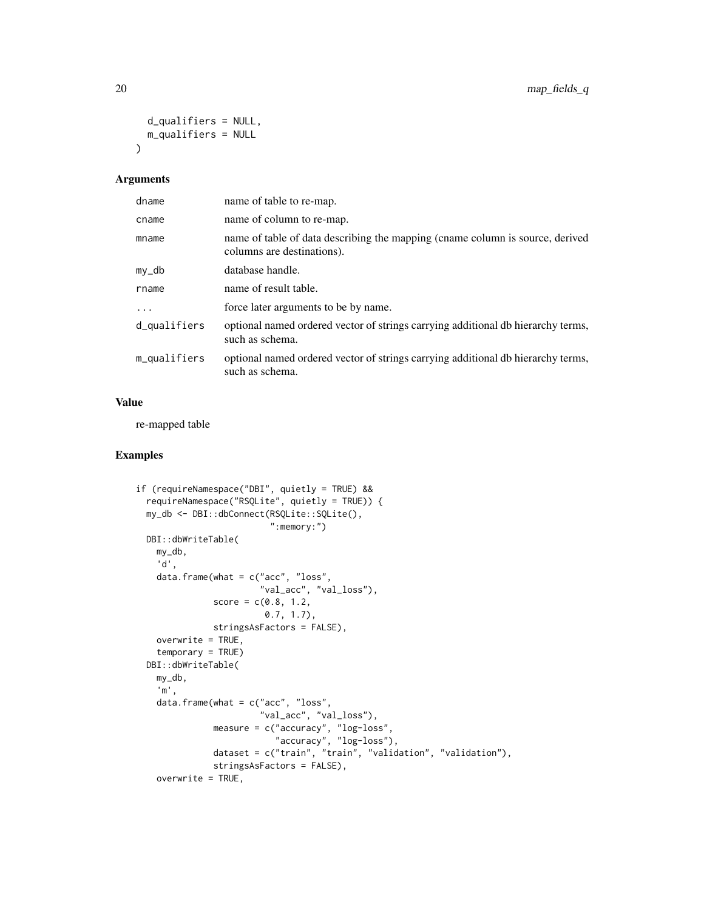```
d_qualifiers = NULL,
 m_qualifiers = NULL
\lambda
```

| dname        | name of table to re-map.                                                                                    |
|--------------|-------------------------------------------------------------------------------------------------------------|
| cname        | name of column to re-map.                                                                                   |
| mname        | name of table of data describing the mapping (cname column is source, derived<br>columns are destinations). |
| my_db        | database handle.                                                                                            |
| rname        | name of result table.                                                                                       |
| $\cdots$     | force later arguments to be by name.                                                                        |
| d_qualifiers | optional named ordered vector of strings carrying additional db hierarchy terms,<br>such as schema.         |
| m_qualifiers | optional named ordered vector of strings carrying additional db hierarchy terms,<br>such as schema.         |

# Value

re-mapped table

```
if (requireNamespace("DBI", quietly = TRUE) &&
 requireNamespace("RSQLite", quietly = TRUE)) {
 my_db <- DBI::dbConnect(RSQLite::SQLite(),
                          ":memory:")
 DBI::dbWriteTable(
   my_db,
   'd',
   data.frame(what = c("acc", "loss",
                        "val_acc", "val_loss"),
              score = c(0.8, 1.2,0.7, 1.7),
              stringsAsFactors = FALSE),
   overwrite = TRUE,
   temporary = TRUE)
 DBI::dbWriteTable(
   my_db,
    'm',
   data.frame(what = c("acc", "loss",
                       "val_acc", "val_loss"),
               measure = c("accuracy", "log-loss",
                           "accuracy", "log-loss"),
              dataset = c("train", "train", "validation", "validation"),
              stringsAsFactors = FALSE),
   overwrite = TRUE,
```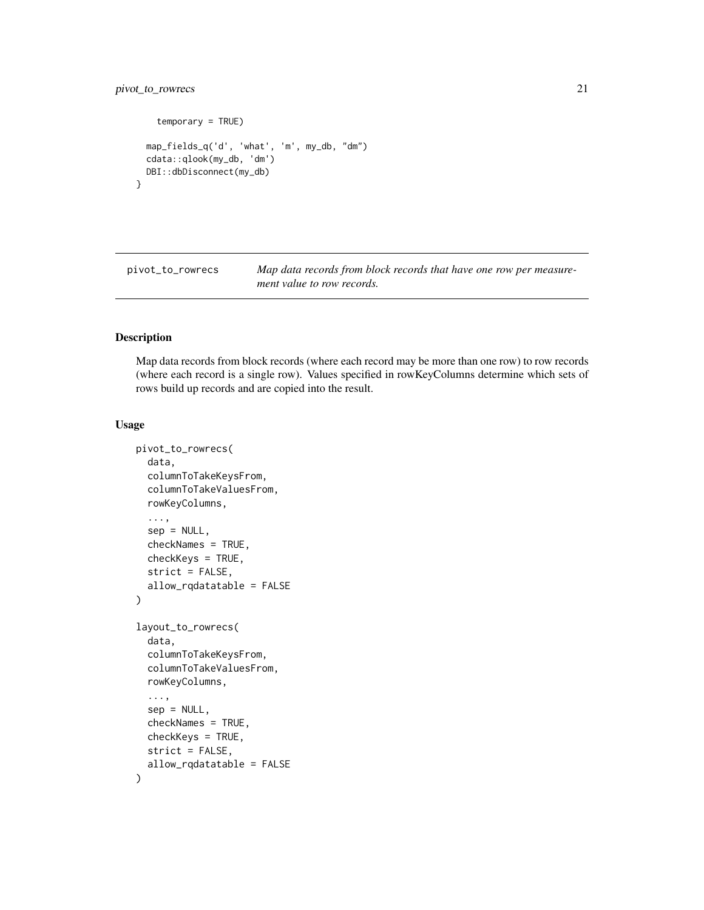```
temporary = TRUE)
 map_fields_q('d', 'what', 'm', my_db, "dm")
 cdata::qlook(my_db, 'dm')
 DBI::dbDisconnect(my_db)
}
```
<span id="page-20-1"></span>pivot\_to\_rowrecs *Map data records from block records that have one row per measurement value to row records.*

# Description

Map data records from block records (where each record may be more than one row) to row records (where each record is a single row). Values specified in rowKeyColumns determine which sets of rows build up records and are copied into the result.

```
pivot_to_rowrecs(
  data,
  columnToTakeKeysFrom,
  columnToTakeValuesFrom,
  rowKeyColumns,
  ...,
  sep = NULL,checkNames = TRUE,
  checkKeys = TRUE,
  strict = FALSE,
  allow_rqdatatable = FALSE
)
layout_to_rowrecs(
  data,
  columnToTakeKeysFrom,
  columnToTakeValuesFrom,
  rowKeyColumns,
  ...,
  sep = NULL,checkNames = TRUE,
  checkKeys = TRUE,
  strict = FALSE,
  allow_rqdatatable = FALSE
)
```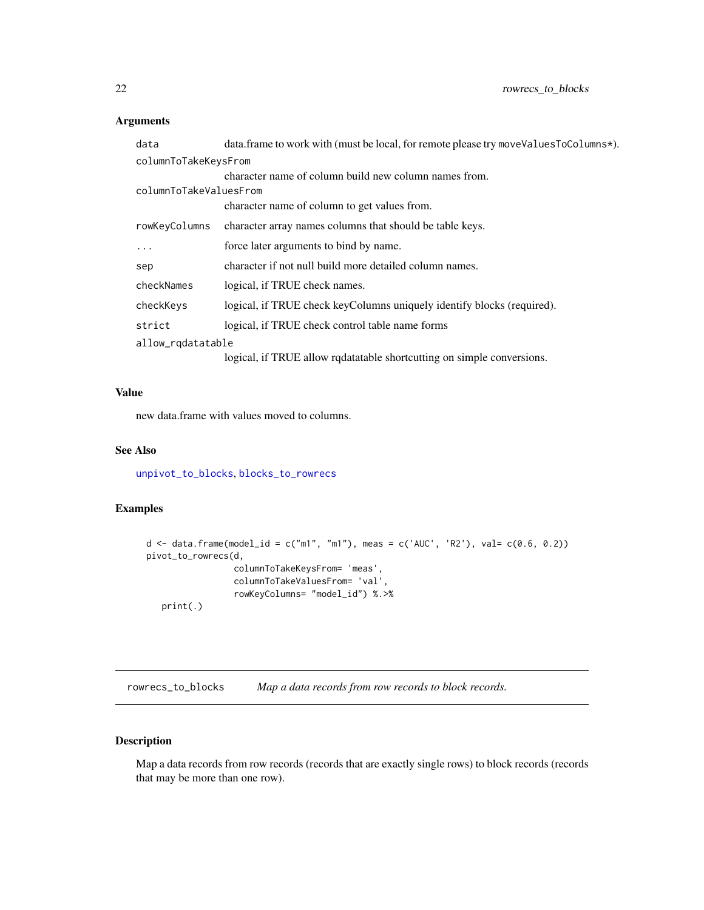<span id="page-21-0"></span>

| data                   | data.frame to work with (must be local, for remote please try moveValuesToColumns*). |  |
|------------------------|--------------------------------------------------------------------------------------|--|
| columnToTakeKeysFrom   |                                                                                      |  |
|                        | character name of column build new column names from.                                |  |
| columnToTakeValuesFrom |                                                                                      |  |
|                        | character name of column to get values from.                                         |  |
| rowKeyColumns          | character array names columns that should be table keys.                             |  |
| $\ddotsc$              | force later arguments to bind by name.                                               |  |
| sep                    | character if not null build more detailed column names.                              |  |
| checkNames             | logical, if TRUE check names.                                                        |  |
| checkKeys              | logical, if TRUE check keyColumns uniquely identify blocks (required).               |  |
| strict                 | logical, if TRUE check control table name forms                                      |  |
| allow_rqdatatable      |                                                                                      |  |
|                        | logical, if TRUE allow rqdatatable shortcutting on simple conversions.               |  |

# Value

new data.frame with values moved to columns.

# See Also

[unpivot\\_to\\_blocks](#page-26-1), [blocks\\_to\\_rowrecs](#page-1-1)

# Examples

```
d \leq d data.frame(model_id = c("m1", "m1"), meas = c('AUC', 'R2'), val= c(0.6, 0.2))
pivot_to_rowrecs(d,
                 columnToTakeKeysFrom= 'meas',
                 columnToTakeValuesFrom= 'val',
                 rowKeyColumns= "model_id") %.>%
   print(.)
```
<span id="page-21-1"></span>rowrecs\_to\_blocks *Map a data records from row records to block records.*

# Description

Map a data records from row records (records that are exactly single rows) to block records (records that may be more than one row).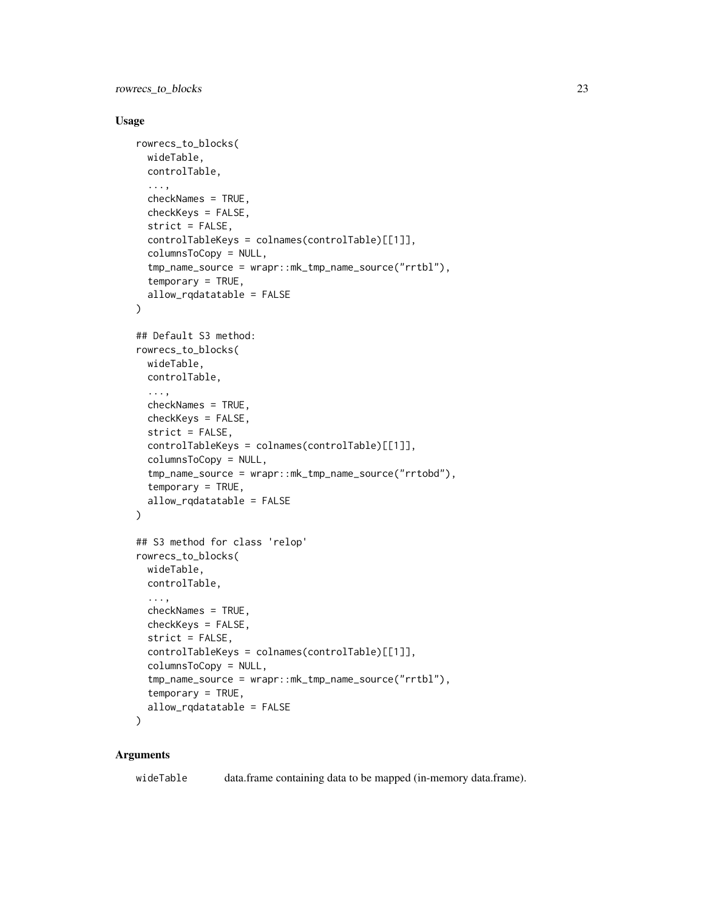rowrecs\_to\_blocks 23

#### Usage

```
rowrecs_to_blocks(
 wideTable,
 controlTable,
  ...,
  checkNames = TRUE,
  checkKeys = FALSE,
  strict = FALSE,
  controlTableKeys = colnames(controlTable)[[1]],
  columnsToCopy = NULL,
  tmp_name_source = wrapr::mk_tmp_name_source("rrtbl"),
  temporary = TRUE,
  allow_rqdatatable = FALSE
\lambda## Default S3 method:
rowrecs_to_blocks(
 wideTable,
 controlTable,
  ...,
 checkNames = TRUE,
  checkKeys = FALSE,
  strict = FALSE,
  controlTableKeys = colnames(controlTable)[[1]],
  columnsToCopy = NULL,
  tmp_name_source = wrapr::mk_tmp_name_source("rrtobd"),
  temporary = TRUE,
  allow_rqdatatable = FALSE
\lambda## S3 method for class 'relop'
rowrecs_to_blocks(
 wideTable,
 controlTable,
  ...,
  checkNames = TRUE,
  checkKeys = FALSE,
  strict = FALSE,
  controlTableKeys = colnames(controlTable)[[1]],
  columnsToCopy = NULL,
  tmp_name_source = wrapr::mk_tmp_name_source("rrtbl"),
  temporary = TRUE,
  allow_rqdatatable = FALSE
\mathcal{L}
```
#### Arguments

wideTable data.frame containing data to be mapped (in-memory data.frame).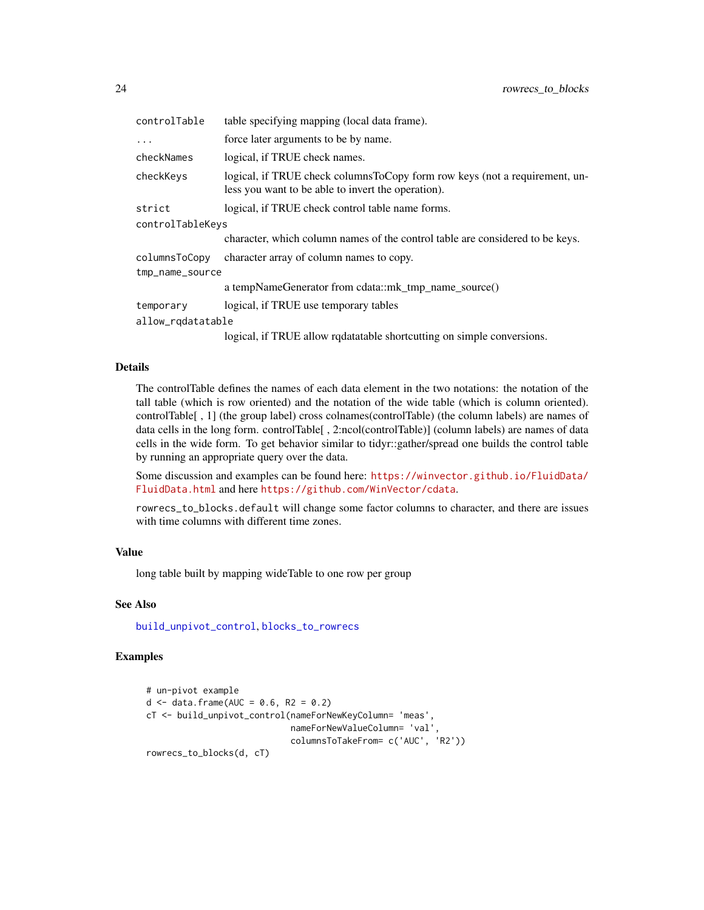<span id="page-23-0"></span>

| controlTable      | table specifying mapping (local data frame).                                                                                     |  |
|-------------------|----------------------------------------------------------------------------------------------------------------------------------|--|
| $\cdots$          | force later arguments to be by name.                                                                                             |  |
| checkNames        | logical, if TRUE check names.                                                                                                    |  |
| checkKeys         | logical, if TRUE check columnsToCopy form row keys (not a requirement, un-<br>less you want to be able to invert the operation). |  |
| strict            | logical, if TRUE check control table name forms.                                                                                 |  |
| controlTableKeys  |                                                                                                                                  |  |
|                   | character, which column names of the control table are considered to be keys.                                                    |  |
| columnsToCopy     | character array of column names to copy.                                                                                         |  |
| tmp_name_source   |                                                                                                                                  |  |
|                   | a tempNameGenerator from cdata::mk_tmp_name_source()                                                                             |  |
| temporary         | logical, if TRUE use temporary tables                                                                                            |  |
| allow_rqdatatable |                                                                                                                                  |  |
|                   | logical, if TRUE allow redatatable shortcutting on simple conversions.                                                           |  |

# Details

The controlTable defines the names of each data element in the two notations: the notation of the tall table (which is row oriented) and the notation of the wide table (which is column oriented). controlTable[ , 1] (the group label) cross colnames(controlTable) (the column labels) are names of data cells in the long form. controlTable[ , 2:ncol(controlTable)] (column labels) are names of data cells in the wide form. To get behavior similar to tidyr::gather/spread one builds the control table by running an appropriate query over the data.

Some discussion and examples can be found here: [https://winvector.github.io/FluidData/](https://winvector.github.io/FluidData/FluidData.html) [FluidData.html](https://winvector.github.io/FluidData/FluidData.html) and here <https://github.com/WinVector/cdata>.

rowrecs\_to\_blocks.default will change some factor columns to character, and there are issues with time columns with different time zones.

#### Value

long table built by mapping wideTable to one row per group

# See Also

[build\\_unpivot\\_control](#page-8-1), [blocks\\_to\\_rowrecs](#page-1-1)

```
# un-pivot example
d \le - data.frame(AUC = 0.6, R2 = 0.2)
cT <- build_unpivot_control(nameForNewKeyColumn= 'meas',
                            nameForNewValueColumn= 'val',
                            columnsToTakeFrom= c('AUC', 'R2'))
rowrecs_to_blocks(d, cT)
```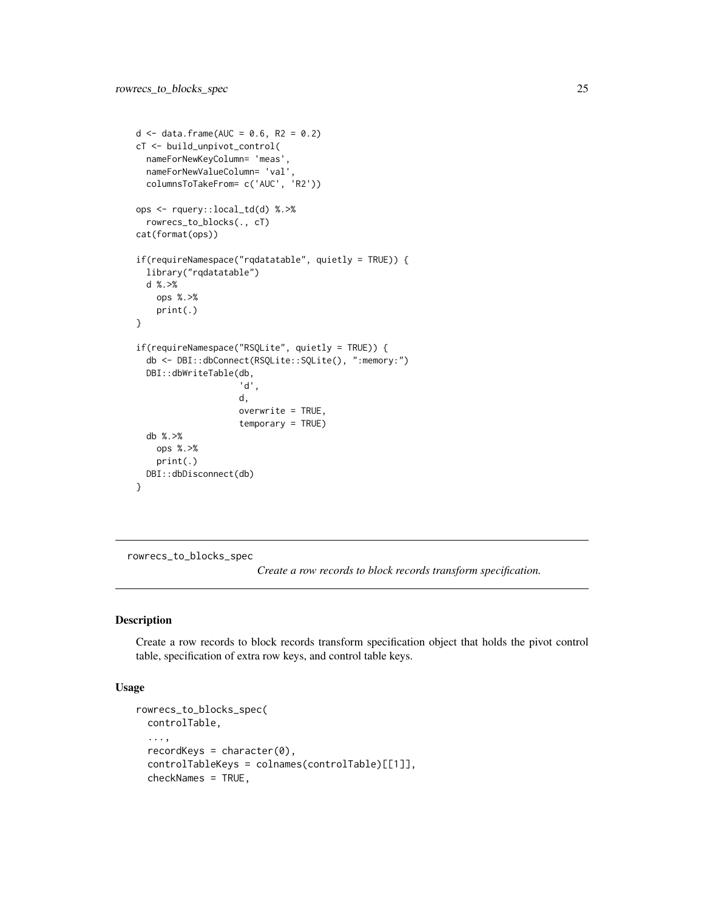```
d \le - data.frame(AUC = 0.6, R2 = 0.2)
cT <- build_unpivot_control(
  nameForNewKeyColumn= 'meas',
  nameForNewValueColumn= 'val',
  columnsToTakeFrom= c('AUC', 'R2'))
ops <- rquery::local_td(d) %.>%
  rowrecs_to_blocks(., cT)
cat(format(ops))
if(requireNamespace("rqdatatable", quietly = TRUE)) {
  library("rqdatatable")
  d %.>%
    ops %.>%
    print(.)
}
if(requireNamespace("RSQLite", quietly = TRUE)) {
  db <- DBI::dbConnect(RSQLite::SQLite(), ":memory:")
  DBI::dbWriteTable(db,
                     'd',
                    d,
                    overwrite = TRUE,
                    temporary = TRUE)
  db %.>%
   ops %.>%
   print(.)
  DBI::dbDisconnect(db)
}
```
rowrecs\_to\_blocks\_spec

*Create a row records to block records transform specification.*

# Description

Create a row records to block records transform specification object that holds the pivot control table, specification of extra row keys, and control table keys.

```
rowrecs_to_blocks_spec(
 controlTable,
  ...,
  recordKeys = character(0),
  controlTableKeys = colnames(controlTable)[[1]],
  checkNames = TRUE,
```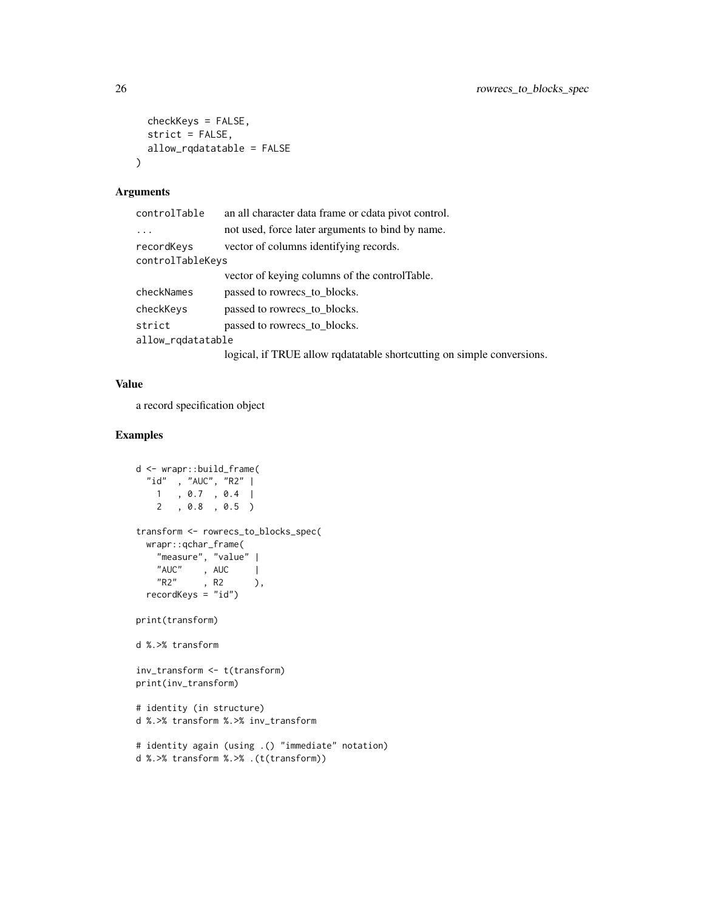```
checkKeys = FALSE,
  strict = FALSE,
  allow_rqdatatable = FALSE
\mathcal{L}
```

| controlTable      | an all character data frame or cdata pivot control.                    |  |
|-------------------|------------------------------------------------------------------------|--|
| .                 | not used, force later arguments to bind by name.                       |  |
| recordKeys        | vector of columns identifying records.                                 |  |
| controlTableKeys  |                                                                        |  |
|                   | vector of keying columns of the control Table.                         |  |
| checkNames        | passed to rowrecs to blocks.                                           |  |
| checkKeys         | passed to rowrecs_to_blocks.                                           |  |
| strict            | passed to rowrecs to blocks.                                           |  |
| allow_rqdatatable |                                                                        |  |
|                   | logical, if TRUE allow redatatable shortcutting on simple conversions. |  |

# Value

a record specification object

```
d <- wrapr::build_frame(
 "id" , "AUC", "R2" |
   1 , 0.7 , 0.4 |
   2 , 0.8 , 0.5 )
transform <- rowrecs_to_blocks_spec(
 wrapr::qchar_frame(
    "measure", "value" |
    "AUC", AUC |
   "R2", R2 ),
 recordKeys = "id")
print(transform)
d %.>% transform
inv_transform <- t(transform)
print(inv_transform)
# identity (in structure)
d %.>% transform %.>% inv_transform
# identity again (using .() "immediate" notation)
d %.>% transform %.>% .(t(transform))
```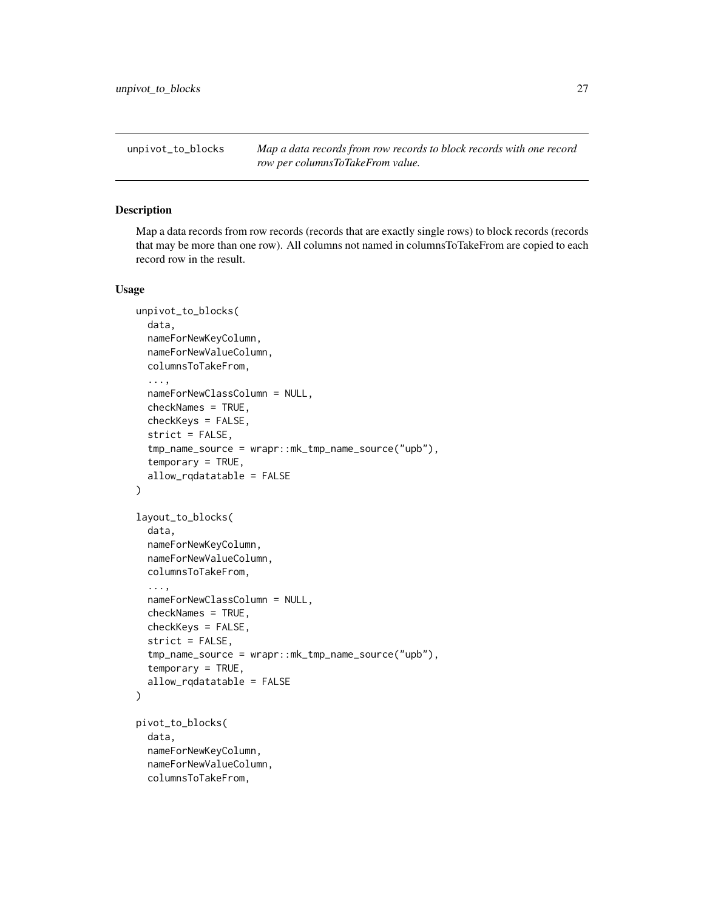<span id="page-26-1"></span><span id="page-26-0"></span>unpivot\_to\_blocks *Map a data records from row records to block records with one record row per columnsToTakeFrom value.*

# Description

Map a data records from row records (records that are exactly single rows) to block records (records that may be more than one row). All columns not named in columnsToTakeFrom are copied to each record row in the result.

```
unpivot_to_blocks(
  data,
  nameForNewKeyColumn,
  nameForNewValueColumn,
  columnsToTakeFrom,
  ...,
  nameForNewClassColumn = NULL,
  checkNames = TRUE,
  checkKeys = FALSE,
  strict = FALSE,
  tmp_name_source = wrapr::mk_tmp_name_source("upb"),
  temporary = TRUE,
  allow_rqdatatable = FALSE
)
layout_to_blocks(
  data,
  nameForNewKeyColumn,
  nameForNewValueColumn,
  columnsToTakeFrom,
  ...,
  nameForNewClassColumn = NULL,
  checkNames = TRUE,
  checkKeys = FALSE,
  strict = FALSE,
  tmp_name_source = wrapr::mk_tmp_name_source("upb"),
  temporary = TRUE,
  allow_rqdatatable = FALSE
\mathcal{L}pivot_to_blocks(
  data,
  nameForNewKeyColumn,
  nameForNewValueColumn,
  columnsToTakeFrom,
```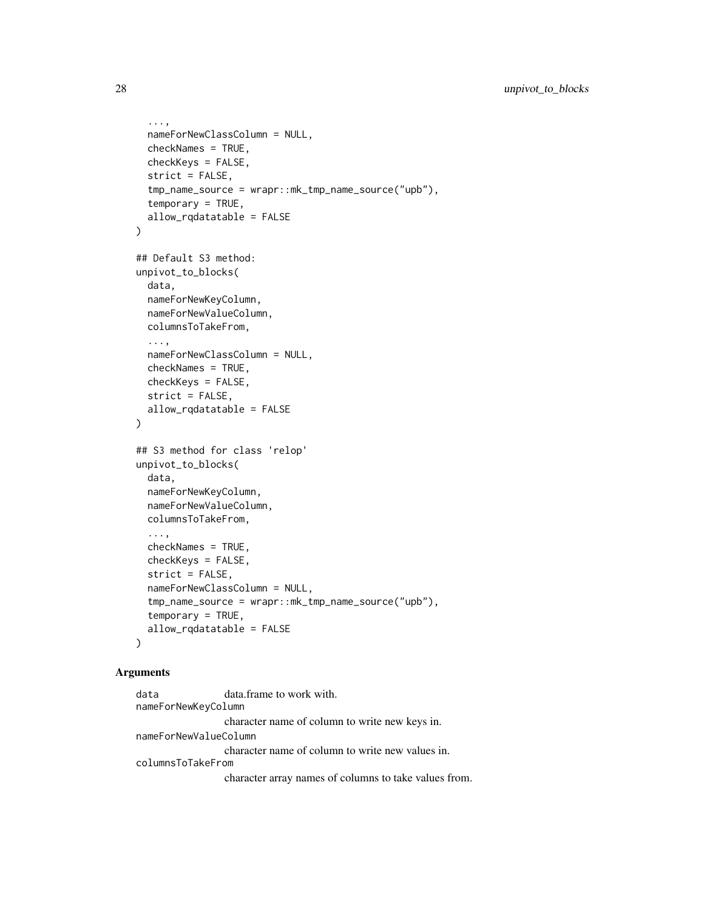```
...,
  nameForNewClassColumn = NULL,
  checkNames = TRUE,
  checkKeys = FALSE,
  strict = FALSE,
  tmp_name_source = wrapr::mk_tmp_name_source("upb"),
  temporary = TRUE,
  allow_rqdatatable = FALSE
\lambda## Default S3 method:
unpivot_to_blocks(
  data,
 nameForNewKeyColumn,
 nameForNewValueColumn,
  columnsToTakeFrom,
  ...,
 nameForNewClassColumn = NULL,
 checkNames = TRUE,
  checkKeys = FALSE,
  strict = FALSE,
  allow_rqdatatable = FALSE
)
## S3 method for class 'relop'
unpivot_to_blocks(
  data,
 nameForNewKeyColumn,
 nameForNewValueColumn,
 columnsToTakeFrom,
  ...,
 checkNames = TRUE,
  checkKeys = FALSE,
  strict = FALSE,
  nameForNewClassColumn = NULL,
  tmp_name_source = wrapr::mk_tmp_name_source("upb"),
  temporary = TRUE,
  allow_rqdatatable = FALSE
\lambda
```
data data.frame to work with. nameForNewKeyColumn character name of column to write new keys in. nameForNewValueColumn character name of column to write new values in. columnsToTakeFrom character array names of columns to take values from.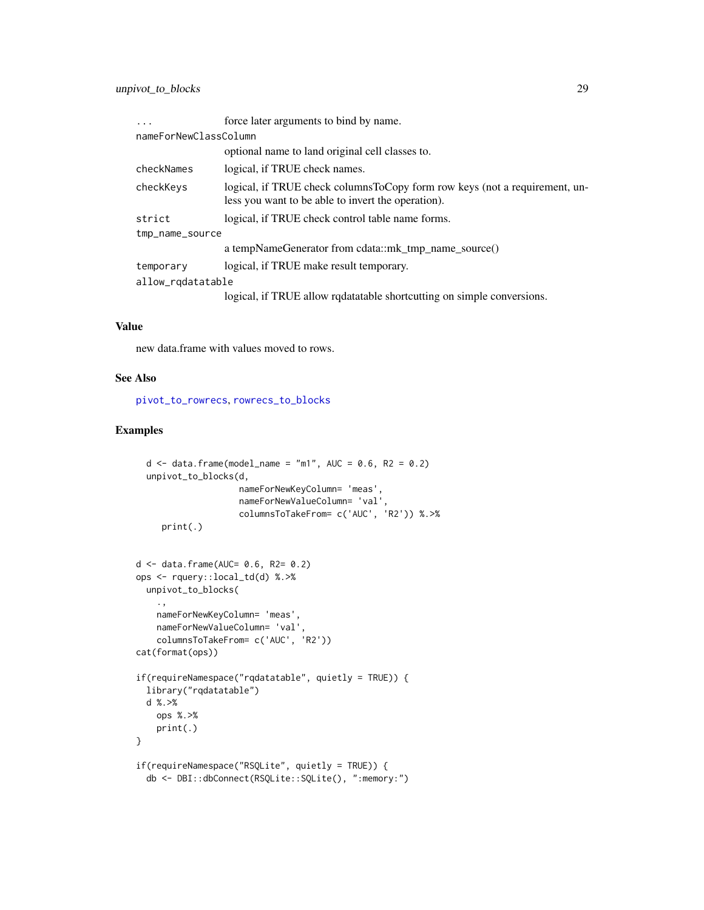<span id="page-28-0"></span>

| $\ddots$              | force later arguments to bind by name.                                                                                           |  |
|-----------------------|----------------------------------------------------------------------------------------------------------------------------------|--|
| nameForNewClassColumn |                                                                                                                                  |  |
|                       | optional name to land original cell classes to.                                                                                  |  |
| checkNames            | logical, if TRUE check names.                                                                                                    |  |
| checkKeys             | logical, if TRUE check columnsToCopy form row keys (not a requirement, un-<br>less you want to be able to invert the operation). |  |
| strict                | logical, if TRUE check control table name forms.                                                                                 |  |
| tmp_name_source       |                                                                                                                                  |  |
|                       | a tempNameGenerator from cdata::mk_tmp_name_source()                                                                             |  |
| temporary             | logical, if TRUE make result temporary.                                                                                          |  |
| allow_rqdatatable     |                                                                                                                                  |  |
|                       | logical, if TRUE allow rqdatatable shortcutting on simple conversions.                                                           |  |

### Value

new data.frame with values moved to rows.

#### See Also

[pivot\\_to\\_rowrecs](#page-20-1), [rowrecs\\_to\\_blocks](#page-21-1)

ops <- rquery::local\_td(d) %.>%

```
d \le - data.frame(model_name = "m1", AUC = 0.6, R2 = 0.2)
 unpivot_to_blocks(d,
                    nameForNewKeyColumn= 'meas',
                    nameForNewValueColumn= 'val',
                    columnsToTakeFrom= c('AUC', 'R2')) %.>%
     print(.)
d <- data.frame(AUC= 0.6, R2= 0.2)
```

```
unpivot_to_blocks(
    .,
   nameForNewKeyColumn= 'meas',
   nameForNewValueColumn= 'val',
    columnsToTakeFrom= c('AUC', 'R2'))
cat(format(ops))
if(requireNamespace("rqdatatable", quietly = TRUE)) {
  library("rqdatatable")
```

```
d %.>%
   ops %.>%
    print(.)
}
if(requireNamespace("RSQLite", quietly = TRUE)) {
```

```
db <- DBI::dbConnect(RSQLite::SQLite(), ":memory:")
```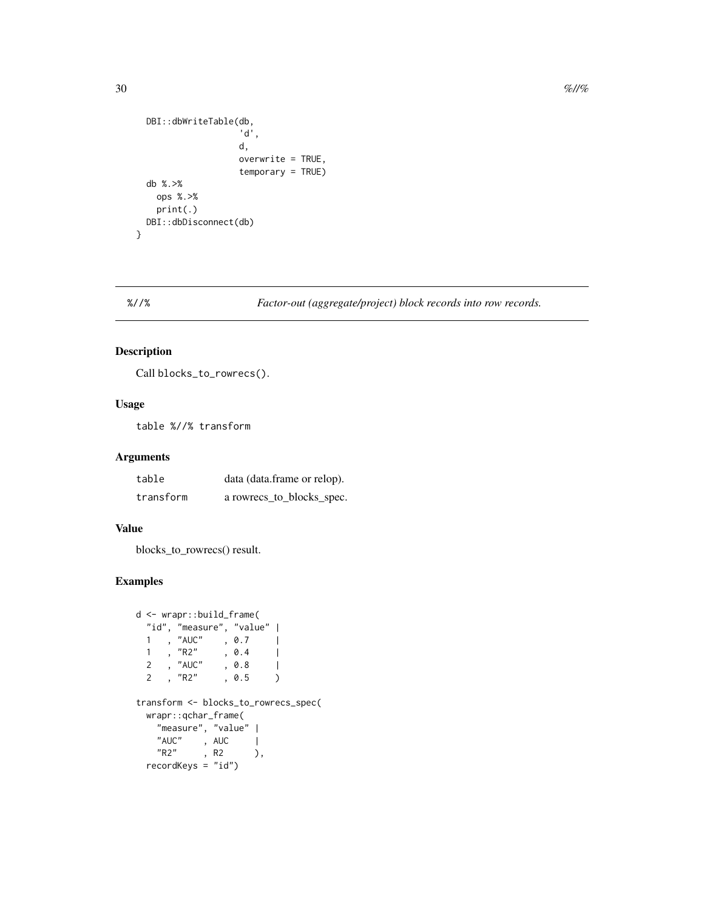```
DBI::dbWriteTable(db,
                    'd',
                    d,
                    overwrite = TRUE,
                    temporary = TRUE)
 db %.>%
   ops %.>%
   print(.)
 DBI::dbDisconnect(db)
}
```
# %//% *Factor-out (aggregate/project) block records into row records.*

# Description

Call blocks\_to\_rowrecs().

# Usage

table %//% transform

# Arguments

| table     | data (data.frame or relop). |
|-----------|-----------------------------|
| transform | a rowrecs_to_blocks_spec.   |

#### Value

blocks\_to\_rowrecs() result.

```
d <- wrapr::build_frame(
  "id", "measure", "value" |
  1, "AUC" , 0.7 |\begin{array}{ccc} 1 & , \text{ "R2" } & , \text{ 0.4 } & | \ 2 & , \text{ "AUC" } & , \text{ 0.8 } & | \end{array}2 , "AUC" , 0.8 |<br>2 , "R2" , 0.5 )
      , "R2" , 0.5 )
transform <- blocks_to_rowrecs_spec(
  wrapr::qchar_frame(
    "measure", "value" |
    "AUC", AUC |
    "R2", R2 ),
  recordKeys = "id")
```
<span id="page-29-0"></span>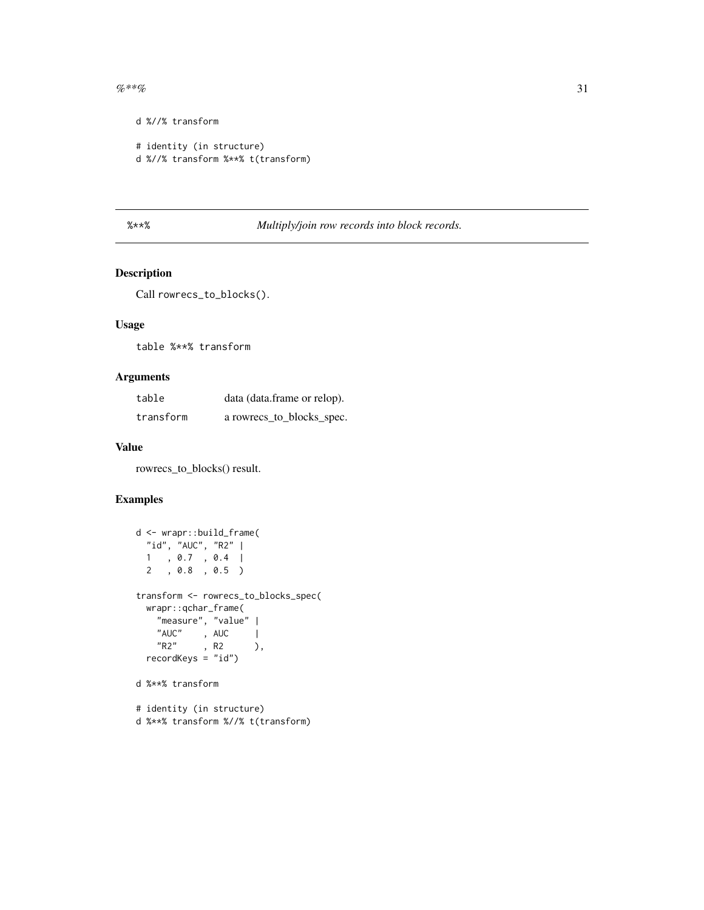<span id="page-30-0"></span> $\%**\%$  31

```
d %//% transform
# identity (in structure)
d %//% transform %**% t(transform)
```
# %\*\*% *Multiply/join row records into block records.*

# Description

Call rowrecs\_to\_blocks().

# Usage

table %\*\*% transform

# Arguments

| table     | data (data.frame or relop). |
|-----------|-----------------------------|
| transform | a rowrecs_to_blocks_spec.   |

#### Value

rowrecs\_to\_blocks() result.

```
d <- wrapr::build_frame(
  "id", "AUC", "R2" |
  1 , 0.7 , 0.4 |
  2 , 0.8 , 0.5 )
transform <- rowrecs_to_blocks_spec(
  wrapr::qchar_frame(
   "measure", "value" |
   "AUC" , AUC |<br>"R2" , R2 )
          "R2" , R2 ),
  recordKeys = "id")
d %**% transform
# identity (in structure)
```

```
d %**% transform %//% t(transform)
```